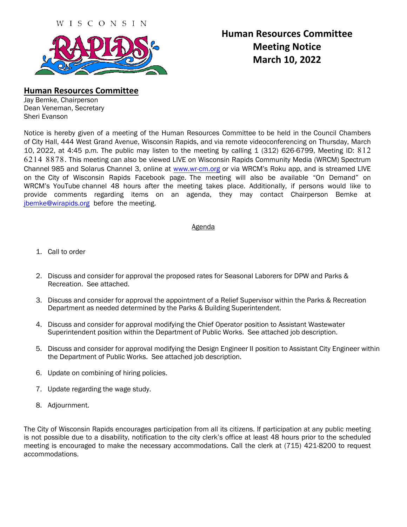

# **Human Resources Committee Meeting Notice March 10, 2022**

### **Human Resources Committee**

Jay Bemke, Chairperson Dean Veneman, Secretary Sheri Evanson

Notice is hereby given of a meeting of the Human Resources Committee to be held in the Council Chambers of City Hall, 444 West Grand Avenue, Wisconsin Rapids, and via remote videoconferencing on Thursday, March 10, 2022, at 4:45 p.m. The public may listen to the meeting by calling 1 (312) 626-6799, Meeting ID: 812 6214 8878. This meeting can also be viewed LIVE on Wisconsin Rapids Community Media (WRCM) Spectrum Channel 985 and Solarus Channel 3, online a[t www.wr-cm.org](http://www.wr-cm.org/) or via WRCM's Roku app, and is streamed LIVE on the City of Wisconsin Rapids Facebook page. The meeting will also be available "On Demand" on WRCM's YouTube channel 48 hours after the meeting takes place. Additionally, if persons would like to provide comments regarding items on an agenda, they may contact Chairperson Bemke at [jbemke@wirapids.org](mailto:jbemke@wirapids.org) before the meeting.

### Agenda

- 1. Call to order
- 2. Discuss and consider for approval the proposed rates for Seasonal Laborers for DPW and Parks & Recreation. See attached.
- 3. Discuss and consider for approval the appointment of a Relief Supervisor within the Parks & Recreation Department as needed determined by the Parks & Building Superintendent.
- 4. Discuss and consider for approval modifying the Chief Operator position to Assistant Wastewater Superintendent position within the Department of Public Works. See attached job description.
- 5. Discuss and consider for approval modifying the Design Engineer II position to Assistant City Engineer within the Department of Public Works. See attached job description.
- 6. Update on combining of hiring policies.
- 7. Update regarding the wage study.
- 8. Adjournment.

The City of Wisconsin Rapids encourages participation from all its citizens. If participation at any public meeting is not possible due to a disability, notification to the city clerk's office at least 48 hours prior to the scheduled meeting is encouraged to make the necessary accommodations. Call the clerk at (715) 421-8200 to request accommodations.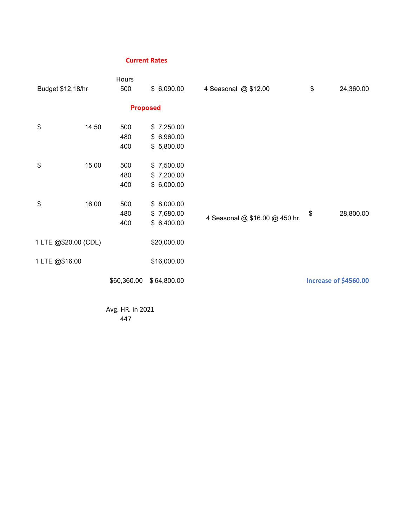### **Current Rates**

|                      |       | Hours             |                                        |                                |                       |
|----------------------|-------|-------------------|----------------------------------------|--------------------------------|-----------------------|
| Budget \$12.18/hr    |       | 500               | \$6,090.00                             | 4 Seasonal @ \$12.00           | \$<br>24,360.00       |
|                      |       | <b>Proposed</b>   |                                        |                                |                       |
| \$                   | 14.50 | 500<br>480<br>400 | \$7,250.00<br>\$6,960.00<br>\$5,800.00 |                                |                       |
| \$                   | 15.00 | 500<br>480<br>400 | \$7,500.00<br>\$7,200.00<br>\$6,000.00 |                                |                       |
| \$                   | 16.00 | 500<br>480<br>400 | \$8,000.00<br>\$7,680.00<br>\$6,400.00 | 4 Seasonal @ \$16.00 @ 450 hr. | \$<br>28,800.00       |
| 1 LTE @\$20.00 (CDL) |       |                   | \$20,000.00                            |                                |                       |
| 1 LTE @\$16.00       |       |                   | \$16,000.00                            |                                |                       |
|                      |       | \$60,360.00       | \$64,800.00                            |                                | Increase of \$4560.00 |

Avg. HR. in 2021 447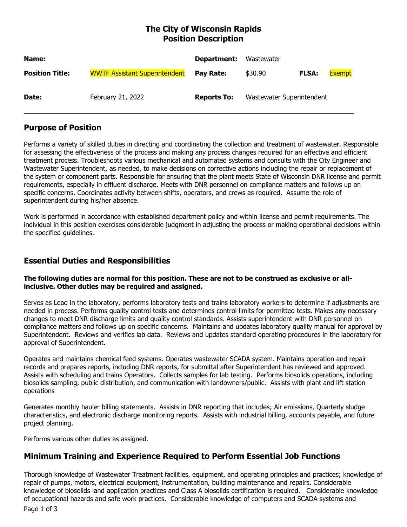# **The City of Wisconsin Rapids Position Description**

| Name:                  |                                      | Department:        | Wastewater                |              |               |
|------------------------|--------------------------------------|--------------------|---------------------------|--------------|---------------|
| <b>Position Title:</b> | <b>WWTF Assistant Superintendent</b> | Pay Rate:          | \$30.90                   | <b>FLSA:</b> | <b>Exempt</b> |
| Date:                  | February 21, 2022                    | <b>Reports To:</b> | Wastewater Superintendent |              |               |

# **Purpose of Position**

Performs a variety of skilled duties in directing and coordinating the collection and treatment of wastewater. Responsible for assessing the effectiveness of the process and making any process changes required for an effective and efficient treatment process. Troubleshoots various mechanical and automated systems and consults with the City Engineer and Wastewater Superintendent, as needed, to make decisions on corrective actions including the repair or replacement of the system or component parts. Responsible for ensuring that the plant meets State of Wisconsin DNR license and permit requirements, especially in effluent discharge. Meets with DNR personnel on compliance matters and follows up on specific concerns. Coordinates activity between shifts, operators, and crews as required. Assume the role of superintendent during his/her absence.

Work is performed in accordance with established department policy and within license and permit requirements. The individual in this position exercises considerable judgment in adjusting the process or making operational decisions within the specified guidelines.

# **Essential Duties and Responsibilities**

### **The following duties are normal for this position. These are not to be construed as exclusive or allinclusive. Other duties may be required and assigned.**

Serves as Lead in the laboratory, performs laboratory tests and trains laboratory workers to determine if adjustments are needed in process. Performs quality control tests and determines control limits for permitted tests. Makes any necessary changes to meet DNR discharge limits and quality control standards. Assists superintendent with DNR personnel on compliance matters and follows up on specific concerns. Maintains and updates laboratory quality manual for approval by Superintendent. Reviews and verifies lab data. Reviews and updates standard operating procedures in the laboratory for approval of Superintendent.

Operates and maintains chemical feed systems. Operates wastewater SCADA system. Maintains operation and repair records and prepares reports, including DNR reports, for submittal after Superintendent has reviewed and approved. Assists with scheduling and trains Operators. Collects samples for lab testing. Performs biosolids operations, including biosolids sampling, public distribution, and communication with landowners/public. Assists with plant and lift station operations

Generates monthly hauler billing statements. Assists in DNR reporting that includes; Air emissions, Quarterly sludge characteristics, and electronic discharge monitoring reports. Assists with industrial billing, accounts payable, and future project planning.

Performs various other duties as assigned.

# **Minimum Training and Experience Required to Perform Essential Job Functions**

Thorough knowledge of Wastewater Treatment facilities, equipment, and operating principles and practices; knowledge of repair of pumps, motors, electrical equipment, instrumentation, building maintenance and repairs. Considerable knowledge of biosolids land application practices and Class A biosolids certification is required. Considerable knowledge of occupational hazards and safe work practices. Considerable knowledge of computers and SCADA systems and

Page 1 of 3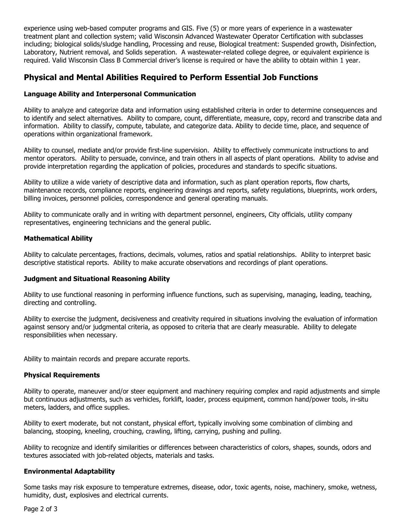experience using web-based computer programs and GIS. Five (5) or more years of experience in a wastewater treatment plant and collection system; valid Wisconsin Advanced Wastewater Operator Certification with subclasses including; biological solids/sludge handling, Processing and reuse, Biological treatment: Suspended growth, Disinfection, Laboratory, Nutrient removal, and Solids seperation. A wastewater-related college degree, or equivalent expirience is required. Valid Wisconsin Class B Commercial driver's license is required or have the ability to obtain within 1 year.

### **Physical and Mental Abilities Required to Perform Essential Job Functions**

### **Language Ability and Interpersonal Communication**

Ability to analyze and categorize data and information using established criteria in order to determine consequences and to identify and select alternatives. Ability to compare, count, differentiate, measure, copy, record and transcribe data and information. Ability to classify, compute, tabulate, and categorize data. Ability to decide time, place, and sequence of operations within organizational framework.

Ability to counsel, mediate and/or provide first-line supervision. Ability to effectively communicate instructions to and mentor operators. Ability to persuade, convince, and train others in all aspects of plant operations. Ability to advise and provide interpretation regarding the application of policies, procedures and standards to specific situations.

Ability to utilize a wide variety of descriptive data and information, such as plant operation reports, flow charts, maintenance records, compliance reports, engineering drawings and reports, safety regulations, blueprints, work orders, billing invoices, personnel policies, correspondence and general operating manuals.

Ability to communicate orally and in writing with department personnel, engineers, City officials, utility company representatives, engineering technicians and the general public.

### **Mathematical Ability**

Ability to calculate percentages, fractions, decimals, volumes, ratios and spatial relationships. Ability to interpret basic descriptive statistical reports. Ability to make accurate observations and recordings of plant operations.

### **Judgment and Situational Reasoning Ability**

Ability to use functional reasoning in performing influence functions, such as supervising, managing, leading, teaching, directing and controlling.

Ability to exercise the judgment, decisiveness and creativity required in situations involving the evaluation of information against sensory and/or judgmental criteria, as opposed to criteria that are clearly measurable. Ability to delegate responsibilities when necessary.

Ability to maintain records and prepare accurate reports.

### **Physical Requirements**

Ability to operate, maneuver and/or steer equipment and machinery requiring complex and rapid adjustments and simple but continuous adjustments, such as verhicles, forklift, loader, process equipment, common hand/power tools, in-situ meters, ladders, and office supplies.

Ability to exert moderate, but not constant, physical effort, typically involving some combination of climbing and balancing, stooping, kneeling, crouching, crawling, lifting, carrying, pushing and pulling.

Ability to recognize and identify similarities or differences between characteristics of colors, shapes, sounds, odors and textures associated with job-related objects, materials and tasks.

#### **Environmental Adaptability**

Some tasks may risk exposure to temperature extremes, disease, odor, toxic agents, noise, machinery, smoke, wetness, humidity, dust, explosives and electrical currents.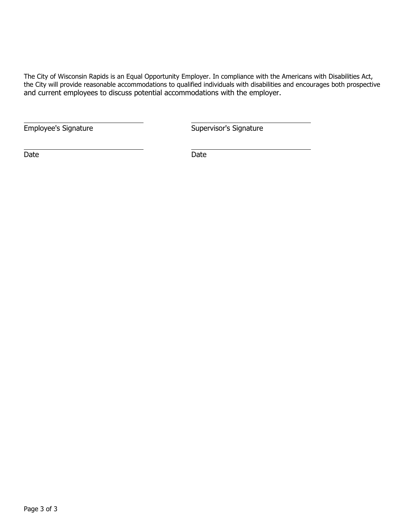The City of Wisconsin Rapids is an Equal Opportunity Employer. In compliance with the Americans with Disabilities Act, the City will provide reasonable accommodations to qualified individuals with disabilities and encourages both prospective and current employees to discuss potential accommodations with the employer.

Employee's Signature **Supervisor's Signature** Supervisor's Signature

Date **Date** Date **Date**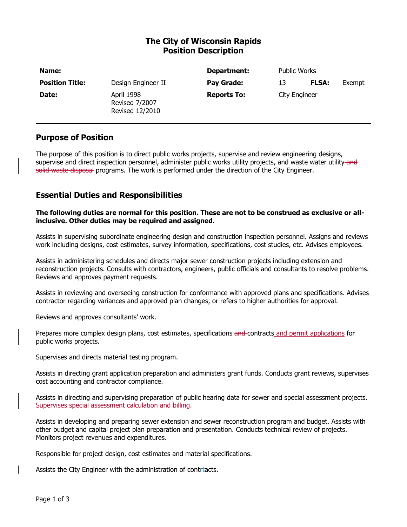# **The City of Wisconsin Rapids Position Description**

| Name:                  |                                                        | Department:        | <b>Public Works</b> |              |        |
|------------------------|--------------------------------------------------------|--------------------|---------------------|--------------|--------|
| <b>Position Title:</b> | Design Engineer II                                     | Pay Grade:         | 13                  | <b>FLSA:</b> | Exempt |
| Date:                  | April 1998<br><b>Revised 7/2007</b><br>Revised 12/2010 | <b>Reports To:</b> | City Engineer       |              |        |

### **Purpose of Position**

The purpose of this position is to direct public works projects, supervise and review engineering designs, supervise and direct inspection personnel, administer public works utility projects, and waste water utility-and solid waste disposal programs. The work is performed under the direction of the City Engineer.

### **Essential Duties and Responsibilities**

#### **The following duties are normal for this position. These are not to be construed as exclusive or allinclusive. Other duties may be required and assigned.**

Assists in supervising subordinate engineering design and construction inspection personnel. Assigns and reviews work including designs, cost estimates, survey information, specifications, cost studies, etc. Advises employees.

Assists in administering schedules and directs major sewer construction projects including extension and reconstruction projects. Consults with contractors, engineers, public officials and consultants to resolve problems. Reviews and approves payment requests.

Assists in reviewing and overseeing construction for conformance with approved plans and specifications. Advises contractor regarding variances and approved plan changes, or refers to higher authorities for approval.

Reviews and approves consultants' work.

Prepares more complex design plans, cost estimates, specifications and-contracts and permit applications for public works projects.

Supervises and directs material testing program.

Assists in directing grant application preparation and administers grant funds. Conducts grant reviews, supervises cost accounting and contractor compliance.

Assists in directing and supervising preparation of public hearing data for sewer and special assessment projects. Supervises special assessment calculation and billing.

Assists in developing and preparing sewer extension and sewer reconstruction program and budget. Assists with other budget and capital project plan preparation and presentation. Conducts technical review of projects. Monitors project revenues and expenditures.

Responsible for project design, cost estimates and material specifications.

Assists the City Engineer with the administration of contraacts.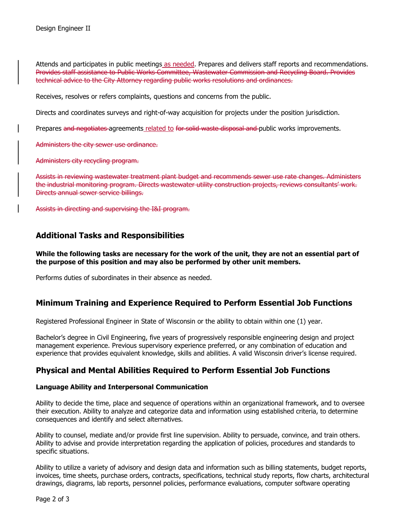Attends and participates in public meetings as needed. Prepares and delivers staff reports and recommendations. Provides staff assistance to Public Works Committee, Wastewater Commission and Recycling Board. Provides technical advice to the City Attorney regarding public works resolutions and ordinances.

Receives, resolves or refers complaints, questions and concerns from the public.

Directs and coordinates surveys and right-of-way acquisition for projects under the position jurisdiction.

Prepares and negotiates agreements related to for solid waste disposal and public works improvements.

Administers the city sewer use ordinance.

Administers city recycling program.

Assists in reviewing wastewater treatment plant budget and recommends sewer use rate changes. Administers the industrial monitoring program. Directs wastewater utility construction projects, reviews consultants' work. Directs annual sewer service billings.

Assists in directing and supervising the I&I program.

### **Additional Tasks and Responsibilities**

### **While the following tasks are necessary for the work of the unit, they are not an essential part of the purpose of this position and may also be performed by other unit members.**

Performs duties of subordinates in their absence as needed.

### **Minimum Training and Experience Required to Perform Essential Job Functions**

Registered Professional Engineer in State of Wisconsin or the ability to obtain within one (1) year.

Bachelor's degree in Civil Engineering, five years of progressively responsible engineering design and project management experience. Previous supervisory experience preferred, or any combination of education and experience that provides equivalent knowledge, skills and abilities. A valid Wisconsin driver's license required.

### **Physical and Mental Abilities Required to Perform Essential Job Functions**

### **Language Ability and Interpersonal Communication**

Ability to decide the time, place and sequence of operations within an organizational framework, and to oversee their execution. Ability to analyze and categorize data and information using established criteria, to determine consequences and identify and select alternatives.

Ability to counsel, mediate and/or provide first line supervision. Ability to persuade, convince, and train others. Ability to advise and provide interpretation regarding the application of policies, procedures and standards to specific situations.

Ability to utilize a variety of advisory and design data and information such as billing statements, budget reports, invoices, time sheets, purchase orders, contracts, specifications, technical study reports, flow charts, architectural drawings, diagrams, lab reports, personnel policies, performance evaluations, computer software operating